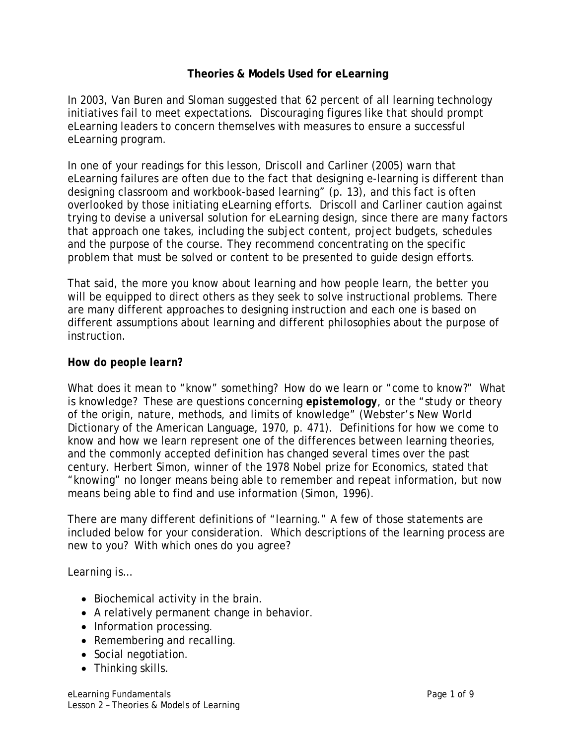## **Theories & Models Used for eLearning**

In 2003, Van Buren and Sloman suggested that 62 percent of all learning technology initiatives fail to meet expectations. Discouraging figures like that should prompt eLearning leaders to concern themselves with measures to ensure a successful eLearning program.

In one of your readings for this lesson, Driscoll and Carliner (2005) warn that eLearning failures are often due to the fact that designing e-learning is different than designing classroom and workbook-based learning" (p. 13), and this fact is often overlooked by those initiating eLearning efforts. Driscoll and Carliner caution against trying to devise a universal solution for eLearning design, since there are many factors that approach one takes, including the subject content, project budgets, schedules and the purpose of the course. They recommend concentrating on the specific problem that must be solved or content to be presented to guide design efforts.

That said, the more you know about learning and how people learn, the better you will be equipped to direct others as they seek to solve instructional problems. There are many different approaches to designing instruction and each one is based on different assumptions about learning and different philosophies about the purpose of instruction.

### *How do people learn?*

What does it mean to "know" something? How do we learn or "come to know?" What is knowledge? These are questions concerning *epistemology*, or the "study or theory of the origin, nature, methods, and limits of knowledge" (Webster's New World Dictionary of the American Language, 1970, p. 471). Definitions for how we come to know and how we learn represent one of the differences between learning theories, and the commonly accepted definition has changed several times over the past century. Herbert Simon, winner of the 1978 Nobel prize for Economics, stated that "knowing" no longer means being able to remember and repeat information, but now means being able to find and use information (Simon, 1996).

There are many different definitions of "learning." A few of those statements are included below for your consideration. Which descriptions of the learning process are new to you? With which ones do you agree?

### *Learning is…*

- Biochemical activity in the brain.
- A relatively permanent change in behavior.
- Information processing.
- Remembering and recalling.
- Social negotiation.
- Thinking skills.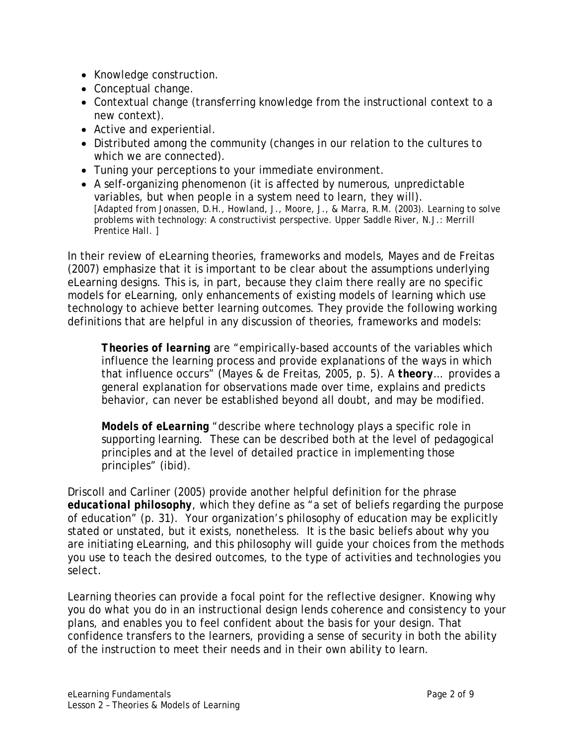- Knowledge construction.
- Conceptual change.
- Contextual change (transferring knowledge from the instructional context to a new context).
- Active and experiential.
- Distributed among the community (changes in our relation to the cultures to which we are connected).
- Tuning your perceptions to your immediate environment.
- A self-organizing phenomenon (it is affected by numerous, unpredictable variables, but when people in a system need to learn, they will). *[Adapted from Jonassen, D.H., Howland, J., Moore, J., & Marra, R.M. (2003). Learning to solve problems with technology: A constructivist perspective. Upper Saddle River, N.J.: Merrill Prentice Hall. ]*

In their review of eLearning theories, frameworks and models, Mayes and de Freitas (2007) emphasize that it is important to be clear about the assumptions underlying eLearning designs. This is, in part, because they claim there really are no specific models for eLearning, only enhancements of existing models of learning which use technology to achieve better learning outcomes. They provide the following working definitions that are helpful in any discussion of theories, frameworks and models:

*Theories of learning* are "empirically-based accounts of the variables which influence the learning process and provide explanations of the ways in which that influence occurs" (Mayes & de Freitas, 2005, p. 5). A *theory*… provides a general explanation for observations made over time, explains and predicts behavior, can never be established beyond all doubt, and may be modified.

*Models of eLearning* "describe where technology plays a specific role in supporting learning. These can be described both at the level of pedagogical principles and at the level of detailed practice in implementing those principles" (ibid).

Driscoll and Carliner (2005) provide another helpful definition for the phrase *educational philosophy*, which they define as "a set of beliefs regarding the purpose of education" (p. 31). Your organization's philosophy of education may be explicitly stated or unstated, but it exists, nonetheless. It is the basic beliefs about why you are initiating eLearning, and this philosophy will guide your choices from the methods you use to teach the desired outcomes, to the type of activities and technologies you select.

Learning theories can provide a focal point for the reflective designer. Knowing *why* you do *what* you do in an instructional design lends coherence and consistency to your plans, and enables you to feel confident about the basis for your design. That confidence transfers to the learners, providing a sense of security in both the ability of the instruction to meet their needs and in their own ability to learn.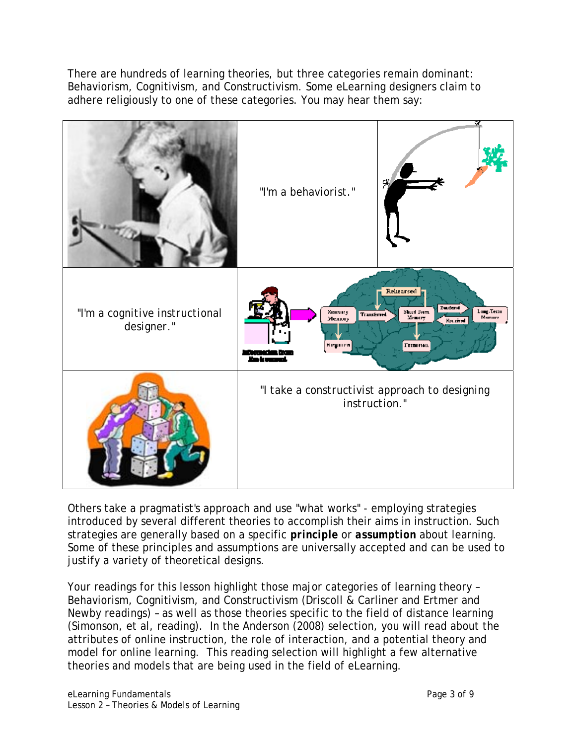There are hundreds of learning theories, but three categories remain dominant: Behaviorism, Cognitivism, and Constructivism. Some eLearning designers claim to adhere religiously to one of these categories. You may hear them say:



Others take a pragmatist's approach and use "what works" - employing strategies introduced by several different theories to accomplish their aims in instruction. Such strategies are generally based on a specific *principle* or *assumption* about learning. Some of these principles and assumptions are universally accepted and can be used to justify a variety of theoretical designs.

Your readings for this lesson highlight those major categories of learning theory – Behaviorism, Cognitivism, and Constructivism (Driscoll & Carliner and Ertmer and Newby readings) – as well as those theories specific to the field of distance learning (Simonson, et al, reading). In the Anderson (2008) selection, you will read about the attributes of online instruction, the role of interaction, and a potential theory and model for online learning. This reading selection will highlight a few alternative theories and models that are being used in the field of eLearning.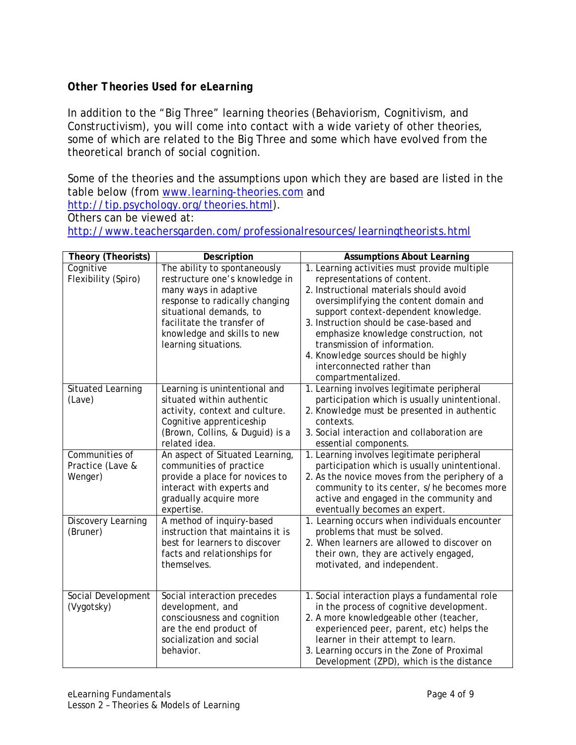# *Other Theories Used for eLearning*

In addition to the "Big Three" learning theories (Behaviorism, Cognitivism, and Constructivism), you will come into contact with a wide variety of other theories, some of which are related to the Big Three and some which have evolved from the theoretical branch of social cognition.

Some of the theories and the assumptions upon which they are based are listed in the table below (from [www.learning-theories.com](http://www.learning-theories.com/) and <http://tip.psychology.org/theories.html>).

Others can be viewed at:

<http://www.teachersgarden.com/professionalresources/learningtheorists.html>

| Theory (Theorists)  | Description                      | <b>Assumptions About Learning</b>              |
|---------------------|----------------------------------|------------------------------------------------|
| Cognitive           | The ability to spontaneously     | 1. Learning activities must provide multiple   |
| Flexibility (Spiro) | restructure one's knowledge in   | representations of content.                    |
|                     | many ways in adaptive            | 2. Instructional materials should avoid        |
|                     | response to radically changing   | oversimplifying the content domain and         |
|                     | situational demands, to          | support context-dependent knowledge.           |
|                     | facilitate the transfer of       | 3. Instruction should be case-based and        |
|                     | knowledge and skills to new      | emphasize knowledge construction, not          |
|                     | learning situations.             | transmission of information.                   |
|                     |                                  | 4. Knowledge sources should be highly          |
|                     |                                  | interconnected rather than                     |
|                     |                                  | compartmentalized.                             |
| Situated Learning   | Learning is unintentional and    | 1. Learning involves legitimate peripheral     |
| (Lave)              | situated within authentic        | participation which is usually unintentional.  |
|                     | activity, context and culture.   | 2. Knowledge must be presented in authentic    |
|                     | Cognitive apprenticeship         | contexts.                                      |
|                     | (Brown, Collins, & Duguid) is a  | 3. Social interaction and collaboration are    |
|                     | related idea.                    | essential components.                          |
| Communities of      | An aspect of Situated Learning,  | 1. Learning involves legitimate peripheral     |
| Practice (Lave &    | communities of practice          | participation which is usually unintentional.  |
| Wenger)             | provide a place for novices to   | 2. As the novice moves from the periphery of a |
|                     | interact with experts and        | community to its center, s/he becomes more     |
|                     | gradually acquire more           | active and engaged in the community and        |
|                     | expertise.                       | eventually becomes an expert.                  |
| Discovery Learning  | A method of inquiry-based        | 1. Learning occurs when individuals encounter  |
| (Bruner)            | instruction that maintains it is | problems that must be solved.                  |
|                     | best for learners to discover    | 2. When learners are allowed to discover on    |
|                     | facts and relationships for      | their own, they are actively engaged,          |
|                     | themselves.                      | motivated, and independent.                    |
|                     |                                  |                                                |
| Social Development  | Social interaction precedes      | 1. Social interaction plays a fundamental role |
| (Vygotsky)          | development, and                 | in the process of cognitive development.       |
|                     | consciousness and cognition      | 2. A more knowledgeable other (teacher,        |
|                     | are the end product of           | experienced peer, parent, etc) helps the       |
|                     | socialization and social         | learner in their attempt to learn.             |
|                     | behavior.                        | 3. Learning occurs in the Zone of Proximal     |
|                     |                                  | Development (ZPD), which is the distance       |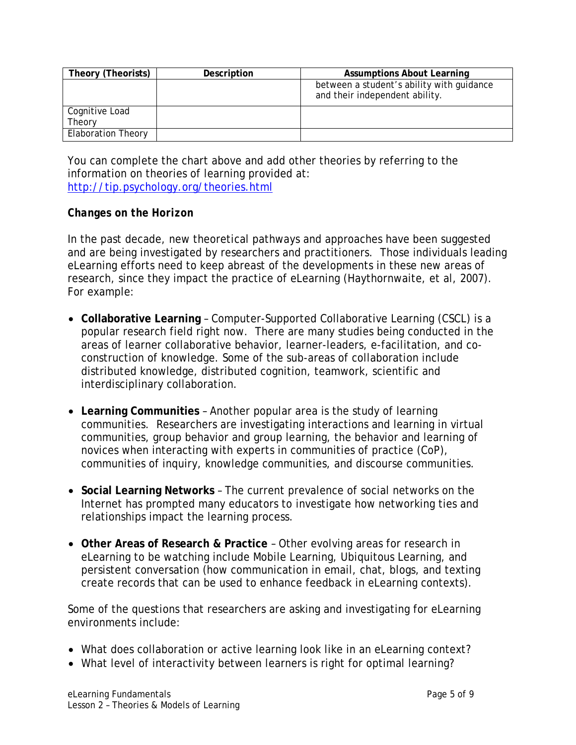| Theory (Theorists)        | Description | <b>Assumptions About Learning</b>                                           |
|---------------------------|-------------|-----------------------------------------------------------------------------|
|                           |             | between a student's ability with guidance<br>and their independent ability. |
| Cognitive Load<br>Theory  |             |                                                                             |
| <b>Elaboration Theory</b> |             |                                                                             |

You can complete the chart above and add other theories by referring to the information on theories of learning provided at: <http://tip.psychology.org/theories.html>

## *Changes on the Horizon*

In the past decade, new theoretical pathways and approaches have been suggested and are being investigated by researchers and practitioners. Those individuals leading eLearning efforts need to keep abreast of the developments in these new areas of research, since they impact the practice of eLearning (Haythornwaite, et al, 2007). For example:

- **Collaborative Learning** Computer-Supported Collaborative Learning (CSCL) is a popular research field right now. There are many studies being conducted in the areas of learner collaborative behavior, learner-leaders, e-facilitation, and coconstruction of knowledge. Some of the sub-areas of collaboration include distributed knowledge, distributed cognition, teamwork, scientific and interdisciplinary collaboration.
- **Learning Communities** Another popular area is the study of learning communities. Researchers are investigating interactions and learning in virtual communities, group behavior and group learning, the behavior and learning of novices when interacting with experts in communities of practice (CoP), communities of inquiry, knowledge communities, and discourse communities.
- **Social Learning Networks** The current prevalence of social networks on the Internet has prompted many educators to investigate how networking ties and relationships impact the learning process.
- **Other Areas of Research & Practice** Other evolving areas for research in eLearning to be watching include Mobile Learning, Ubiquitous Learning, and persistent conversation (how communication in email, chat, blogs, and texting create records that can be used to enhance feedback in eLearning contexts).

Some of the questions that researchers are asking and investigating for eLearning environments include:

- What does collaboration or active learning look like in an eLearning context?
- What level of interactivity between learners is right for optimal learning?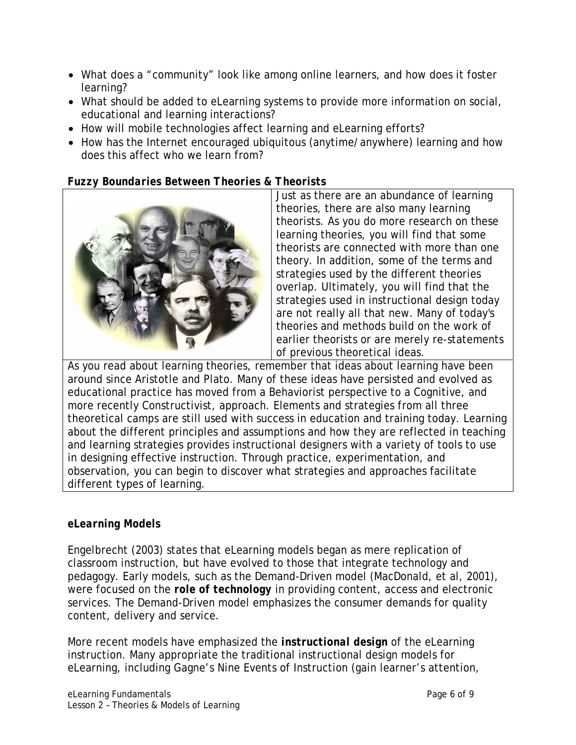- What does a "community" look like among online learners, and how does it foster learning?
- What should be added to eLearning systems to provide more information on social, educational and learning interactions?
- How will mobile technologies affect learning and eLearning efforts?
- How has the Internet encouraged ubiquitous (anytime/anywhere) learning and how does this affect who we learn from?

# *Fuzzy Boundaries Between Theories & Theorists*



Just as there are an abundance of learning theories, there are also many learning theorists. As you do more research on these learning theories, you will find that some theorists are connected with more than one theory. In addition, some of the terms and strategies used by the different theories overlap. Ultimately, you will find that the strategies used in instructional design today are not really all that new. Many of today's theories and methods build on the work of earlier theorists or are merely re-statements of previous theoretical ideas.

As you read about learning theories, remember that ideas about learning have been around since Aristotle and Plato. Many of these ideas have persisted and evolved as educational practice has moved from a Behaviorist perspective to a Cognitive, and more recently Constructivist, approach. Elements and strategies from all three theoretical camps are still used with success in education and training today. Learning about the different principles and assumptions and how they are reflected in teaching and learning strategies provides instructional designers with a variety of tools to use in designing effective instruction. Through practice, experimentation, and observation, you can begin to discover what strategies and approaches facilitate different types of learning.

# *eLearning Models*

Engelbrecht (2003) states that eLearning models began as mere replication of classroom instruction, but have evolved to those that integrate technology and pedagogy. Early models, such as the Demand-Driven model (MacDonald, et al, 2001), were focused on the *role of technology* in providing content, access and electronic services. The Demand-Driven model emphasizes the consumer demands for quality content, delivery and service.

More recent models have emphasized the *instructional design* of the eLearning instruction. Many appropriate the traditional instructional design models for eLearning, including Gagne's Nine Events of Instruction (gain learner's attention,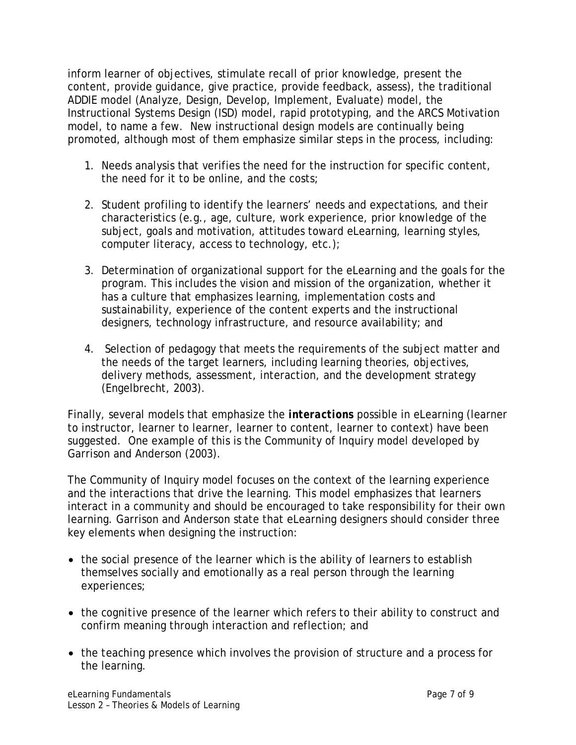inform learner of objectives, stimulate recall of prior knowledge, present the content, provide guidance, give practice, provide feedback, assess), the traditional ADDIE model (Analyze, Design, Develop, Implement, Evaluate) model, the Instructional Systems Design (ISD) model, rapid prototyping, and the ARCS Motivation model, to name a few. New instructional design models are continually being promoted, although most of them emphasize similar steps in the process, including:

- 1. Needs analysis that verifies the need for the instruction for specific content, the need for it to be online, and the costs;
- 2. Student profiling to identify the learners' needs and expectations, and their characteristics (e.g., age, culture, work experience, prior knowledge of the subject, goals and motivation, attitudes toward eLearning, learning styles, computer literacy, access to technology, etc.);
- 3. Determination of organizational support for the eLearning and the goals for the program. This includes the vision and mission of the organization, whether it has a culture that emphasizes learning, implementation costs and sustainability, experience of the content experts and the instructional designers, technology infrastructure, and resource availability; and
- 4. Selection of pedagogy that meets the requirements of the subject matter and the needs of the target learners, including learning theories, objectives, delivery methods, assessment, interaction, and the development strategy (Engelbrecht, 2003).

Finally, several models that emphasize the *interactions* possible in eLearning (learner to instructor, learner to learner, learner to content, learner to context) have been suggested. One example of this is the Community of Inquiry model developed by Garrison and Anderson (2003).

The Community of Inquiry model focuses on the context of the learning experience and the interactions that drive the learning. This model emphasizes that learners interact in a community and should be encouraged to take responsibility for their own learning. Garrison and Anderson state that eLearning designers should consider three key elements when designing the instruction:

- the *social presence* of the learner which is the ability of learners to establish themselves socially and emotionally as a real person through the learning experiences;
- the *cognitive presence* of the learner which refers to their ability to construct and confirm meaning through interaction and reflection; and
- the *teaching presence* which involves the provision of structure and a process for the learning.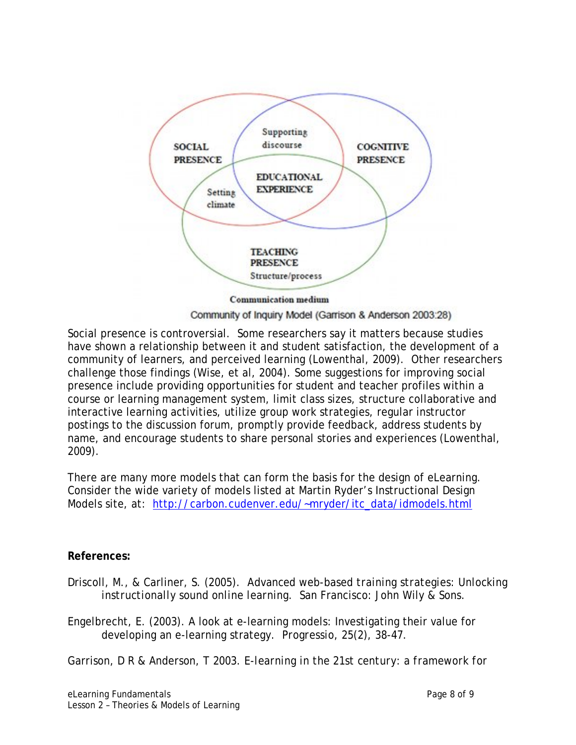

Community of Inquiry Model (Garrison & Anderson 2003:28)

Social presence is controversial. Some researchers say it matters because studies have shown a relationship between it and student satisfaction, the development of a community of learners, and perceived learning (Lowenthal, 2009). Other researchers challenge those findings (Wise, et al, 2004). Some suggestions for improving social presence include providing opportunities for student and teacher profiles within a course or learning management system, limit class sizes, structure collaborative and interactive learning activities, utilize group work strategies, regular instructor postings to the discussion forum, promptly provide feedback, address students by name, and encourage students to share personal stories and experiences (Lowenthal, 2009).

There are many more models that can form the basis for the design of eLearning. Consider the wide variety of models listed at Martin Ryder's Instructional Design Models site, at: [http://carbon.cudenver.edu/~mryder/itc\\_data/idmodels.html](http://carbon.cudenver.edu/%7Emryder/itc_data/idmodels.html)

### **References:**

Driscoll, M., & Carliner, S. (2005). *Advanced web-based training strategies: Unlocking instructionally sound online learning*. San Francisco: John Wily & Sons.

Engelbrecht, E. (2003). A look at e-learning models: Investigating their value for developing an e-learning strategy. *Progressio, 25*(2), 38-47.

Garrison, D R & Anderson, T 2003. *E-learning in the 21st century: a framework for*